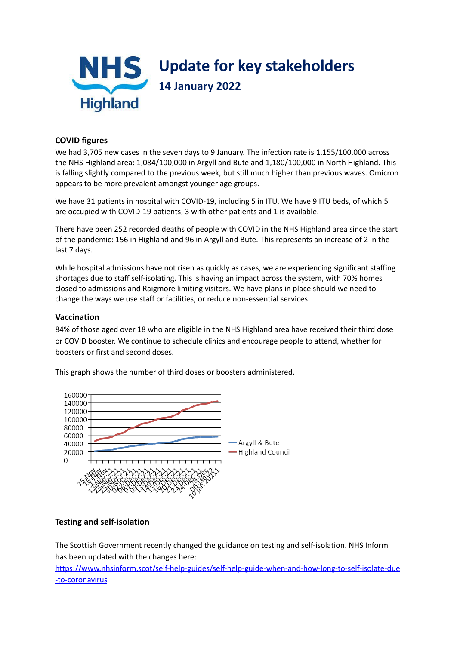

## **COVID figures**

We had 3,705 new cases in the seven days to 9 January. The infection rate is 1,155/100,000 across the NHS Highland area: 1,084/100,000 in Argyll and Bute and 1,180/100,000 in North Highland. This is falling slightly compared to the previous week, but still much higher than previous waves. Omicron appears to be more prevalent amongst younger age groups.

We have 31 patients in hospital with COVID-19, including 5 in ITU. We have 9 ITU beds, of which 5 are occupied with COVID-19 patients, 3 with other patients and 1 is available.

There have been 252 recorded deaths of people with COVID in the NHS Highland area since the start of the pandemic: 156 in Highland and 96 in Argyll and Bute. This represents an increase of 2 in the last 7 days.

While hospital admissions have not risen as quickly as cases, we are experiencing significant staffing shortages due to staff self-isolating. This is having an impact across the system, with 70% homes closed to admissions and Raigmore limiting visitors. We have plans in place should we need to change the ways we use staff or facilities, or reduce non-essential services.

## **Vaccination**

84% of those aged over 18 who are eligible in the NHS Highland area have received their third dose or COVID booster. We continue to schedule clinics and encourage people to attend, whether for boosters or first and second doses.



This graph shows the number of third doses or boosters administered.

## **Testing and self-isolation**

The Scottish Government recently changed the guidance on testing and self-isolation. NHS Inform has been updated with the changes here:

[https://www.nhsinform.scot/self-help-guides/self-help-guide-when-and-how-long-to-self-isolate-due](https://www.nhsinform.scot/self-help-guides/self-help-guide-when-and-how-long-to-self-isolate-due-to-coronavirus) [-to-coronavirus](https://www.nhsinform.scot/self-help-guides/self-help-guide-when-and-how-long-to-self-isolate-due-to-coronavirus)